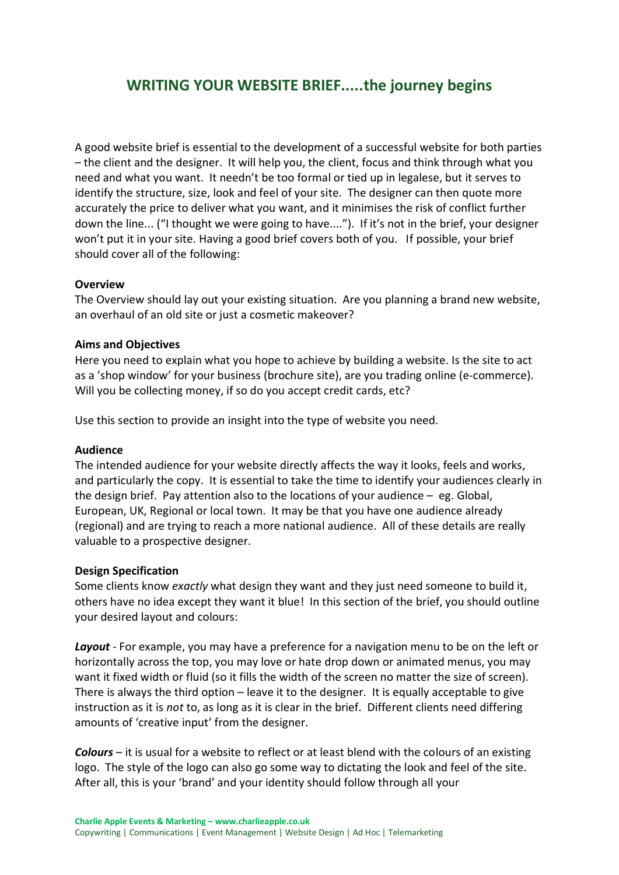# **WRITING YOUR WEBSITE BRIEF.....the journey begins**

A good website brief is essential to the development of a successful website for both parties – the client and the designer. It will help you, the client, focus and think through what you need and what you want. It needn't be too formal or tied up in legalese, but it serves to identify the structure, size, look and feel of your site. The designer can then quote more accurately the price to deliver what you want, and it minimises the risk of conflict further down the line... ("I thought we were going to have...."). If it's not in the brief, your designer won't put it in your site. Having a good brief covers both of you. If possible, your brief should cover all of the following:

## **Overview**

The Overview should lay out your existing situation. Are you planning a brand new website, an overhaul of an old site or just a cosmetic makeover?

#### **Aims and Objectives**

Here you need to explain what you hope to achieve by building a website. Is the site to act as a 'shop window' for your business (brochure site), are you trading online (e-commerce). Will you be collecting money, if so do you accept credit cards, etc?

Use this section to provide an insight into the type of website you need.

#### **Audience**

The intended audience for your website directly affects the way it looks, feels and works, and particularly the copy. It is essential to take the time to identify your audiences clearly in the design brief. Pay attention also to the locations of your audience – eg. Global, European, UK, Regional or local town. It may be that you have one audience already (regional) and are trying to reach a more national audience. All of these details are really valuable to a prospective designer.

#### **Design Specification**

Some clients know *exactly* what design they want and they just need someone to build it, others have no idea except they want it blue! In this section of the brief, you should outline your desired layout and colours:

*Layout* - For example, you may have a preference for a navigation menu to be on the left or horizontally across the top, you may love or hate drop down or animated menus, you may want it fixed width or fluid (so it fills the width of the screen no matter the size of screen). There is always the third option – leave it to the designer. It is equally acceptable to give instruction as it is *not* to, as long as it is clear in the brief. Different clients need differing amounts of 'creative input' from the designer.

*Colours* – it is usual for a website to reflect or at least blend with the colours of an existing logo. The style of the logo can also go some way to dictating the look and feel of the site. After all, this is your 'brand' and your identity should follow through all your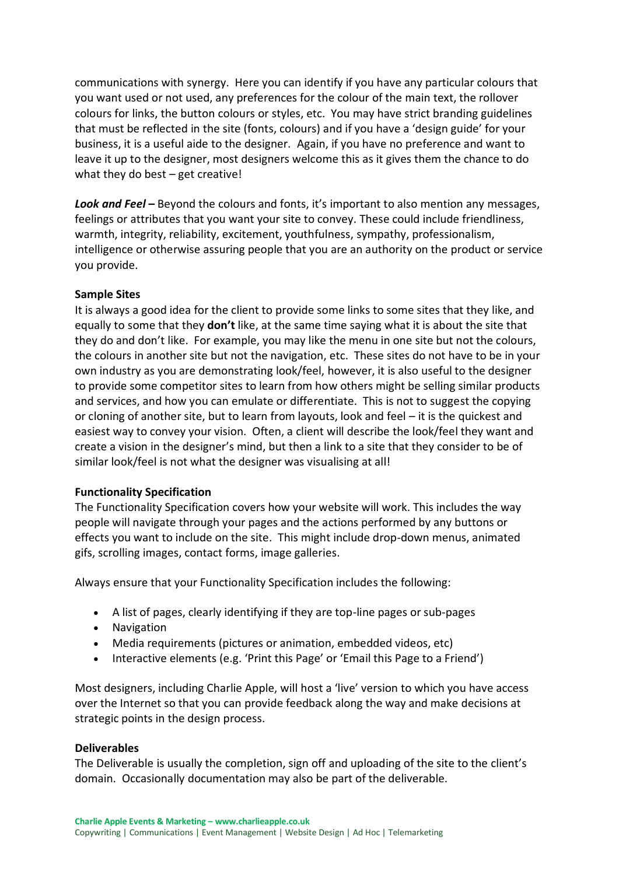communications with synergy. Here you can identify if you have any particular colours that you want used or not used, any preferences for the colour of the main text, the rollover colours for links, the button colours or styles, etc. You may have strict branding guidelines that must be reflected in the site (fonts, colours) and if you have a 'design guide' for your business, it is a useful aide to the designer. Again, if you have no preference and want to leave it up to the designer, most designers welcome this as it gives them the chance to do what they do best – get creative!

*Look and Feel* **–** Beyond the colours and fonts, it's important to also mention any messages, feelings or attributes that you want your site to convey. These could include friendliness, warmth, integrity, reliability, excitement, youthfulness, sympathy, professionalism, intelligence or otherwise assuring people that you are an authority on the product or service you provide.

## **Sample Sites**

It is always a good idea for the client to provide some links to some sites that they like, and equally to some that they **don't** like, at the same time saying what it is about the site that they do and don't like. For example, you may like the menu in one site but not the colours, the colours in another site but not the navigation, etc. These sites do not have to be in your own industry as you are demonstrating look/feel, however, it is also useful to the designer to provide some competitor sites to learn from how others might be selling similar products and services, and how you can emulate or differentiate. This is not to suggest the copying or cloning of another site, but to learn from layouts, look and feel – it is the quickest and easiest way to convey your vision. Often, a client will describe the look/feel they want and create a vision in the designer's mind, but then a link to a site that they consider to be of similar look/feel is not what the designer was visualising at all!

# **Functionality Specification**

The Functionality Specification covers how your website will work. This includes the way people will navigate through your pages and the actions performed by any buttons or effects you want to include on the site. This might include drop-down menus, animated gifs, scrolling images, contact forms, image galleries.

Always ensure that your Functionality Specification includes the following:

- A list of pages, clearly identifying if they are top-line pages or sub-pages
- Navigation
- Media requirements (pictures or animation, embedded videos, etc)
- Interactive elements (e.g. 'Print this Page' or 'Email this Page to a Friend')

Most designers, including Charlie Apple, will host a 'live' version to which you have access over the Internet so that you can provide feedback along the way and make decisions at strategic points in the design process.

## **Deliverables**

The Deliverable is usually the completion, sign off and uploading of the site to the client's domain. Occasionally documentation may also be part of the deliverable.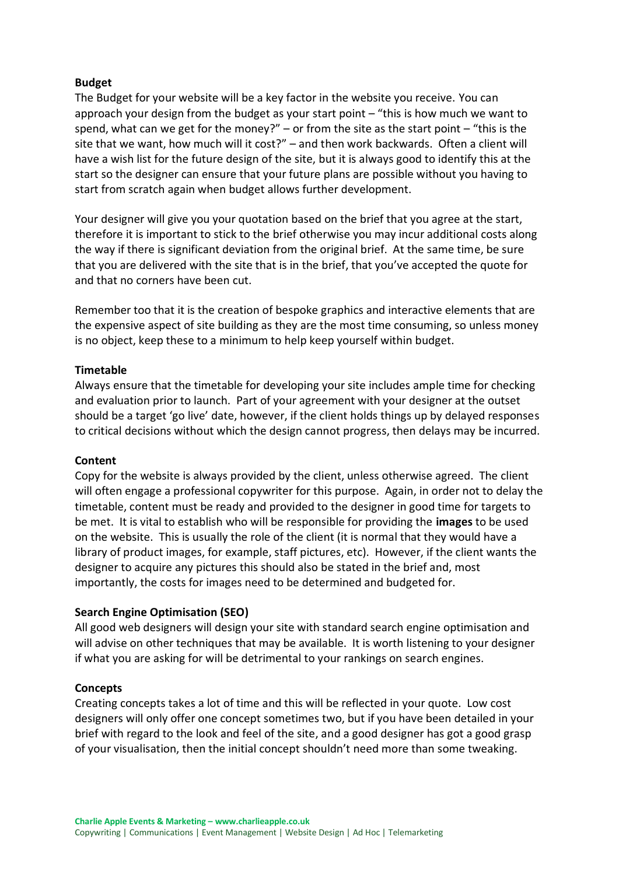# **Budget**

The Budget for your website will be a key factor in the website you receive. You can approach your design from the budget as your start point – "this is how much we want to spend, what can we get for the money?"  $-$  or from the site as the start point  $-$  "this is the site that we want, how much will it cost?" – and then work backwards. Often a client will have a wish list for the future design of the site, but it is always good to identify this at the start so the designer can ensure that your future plans are possible without you having to start from scratch again when budget allows further development.

Your designer will give you your quotation based on the brief that you agree at the start, therefore it is important to stick to the brief otherwise you may incur additional costs along the way if there is significant deviation from the original brief. At the same time, be sure that you are delivered with the site that is in the brief, that you've accepted the quote for and that no corners have been cut.

Remember too that it is the creation of bespoke graphics and interactive elements that are the expensive aspect of site building as they are the most time consuming, so unless money is no object, keep these to a minimum to help keep yourself within budget.

## **Timetable**

Always ensure that the timetable for developing your site includes ample time for checking and evaluation prior to launch. Part of your agreement with your designer at the outset should be a target 'go live' date, however, if the client holds things up by delayed responses to critical decisions without which the design cannot progress, then delays may be incurred.

## **Content**

Copy for the website is always provided by the client, unless otherwise agreed. The client will often engage a professional copywriter for this purpose. Again, in order not to delay the timetable, content must be ready and provided to the designer in good time for targets to be met. It is vital to establish who will be responsible for providing the **images** to be used on the website. This is usually the role of the client (it is normal that they would have a library of product images, for example, staff pictures, etc). However, if the client wants the designer to acquire any pictures this should also be stated in the brief and, most importantly, the costs for images need to be determined and budgeted for.

## **Search Engine Optimisation (SEO)**

All good web designers will design your site with standard search engine optimisation and will advise on other techniques that may be available. It is worth listening to your designer if what you are asking for will be detrimental to your rankings on search engines.

## **Concepts**

Creating concepts takes a lot of time and this will be reflected in your quote. Low cost designers will only offer one concept sometimes two, but if you have been detailed in your brief with regard to the look and feel of the site, and a good designer has got a good grasp of your visualisation, then the initial concept shouldn't need more than some tweaking.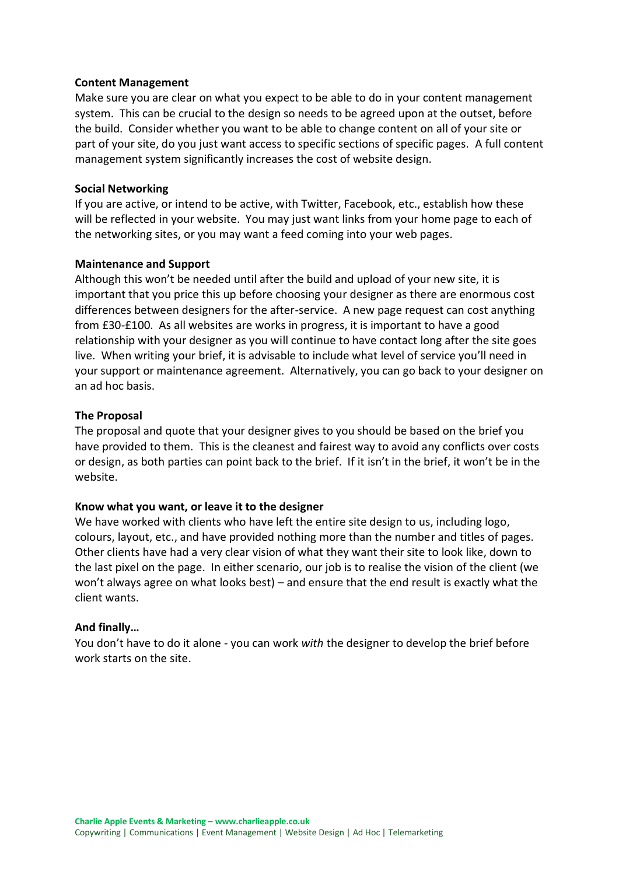## **Content Management**

Make sure you are clear on what you expect to be able to do in your content management system. This can be crucial to the design so needs to be agreed upon at the outset, before the build. Consider whether you want to be able to change content on all of your site or part of your site, do you just want access to specific sections of specific pages. A full content management system significantly increases the cost of website design.

#### **Social Networking**

If you are active, or intend to be active, with Twitter, Facebook, etc., establish how these will be reflected in your website. You may just want links from your home page to each of the networking sites, or you may want a feed coming into your web pages.

#### **Maintenance and Support**

Although this won't be needed until after the build and upload of your new site, it is important that you price this up before choosing your designer as there are enormous cost differences between designers for the after-service. A new page request can cost anything from £30-£100. As all websites are works in progress, it is important to have a good relationship with your designer as you will continue to have contact long after the site goes live. When writing your brief, it is advisable to include what level of service you'll need in your support or maintenance agreement. Alternatively, you can go back to your designer on an ad hoc basis.

#### **The Proposal**

The proposal and quote that your designer gives to you should be based on the brief you have provided to them. This is the cleanest and fairest way to avoid any conflicts over costs or design, as both parties can point back to the brief. If it isn't in the brief, it won't be in the website.

#### **Know what you want, or leave it to the designer**

We have worked with clients who have left the entire site design to us, including logo, colours, layout, etc., and have provided nothing more than the number and titles of pages. Other clients have had a very clear vision of what they want their site to look like, down to the last pixel on the page. In either scenario, our job is to realise the vision of the client (we won't always agree on what looks best) – and ensure that the end result is exactly what the client wants.

#### **And finally…**

You don't have to do it alone - you can work *with* the designer to develop the brief before work starts on the site.